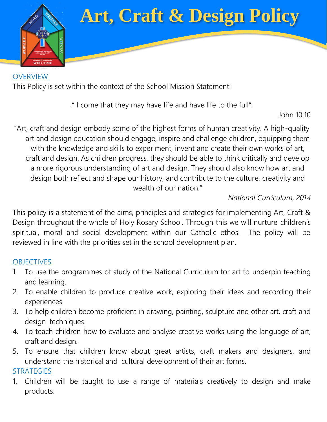

# **Art, Craft & Design Policy**

**OVERVIEW** This Policy is set within the context of the School Mission Statement:

### " I come that they may have life and have life to the full"

John 10:10

"Art, craft and design embody some of the highest forms of human creativity. A high-quality art and design education should engage, inspire and challenge children, equipping them with the knowledge and skills to experiment, invent and create their own works of art, craft and design. As children progress, they should be able to think critically and develop a more rigorous understanding of art and design. They should also know how art and design both reflect and shape our history, and contribute to the culture, creativity and wealth of our nation."

## *National Curriculum, 2014*

This policy is a statement of the aims, principles and strategies for implementing Art, Craft & Design throughout the whole of Holy Rosary School. Through this we will nurture children's spiritual, moral and social development within our Catholic ethos. The policy will be reviewed in line with the priorities set in the school development plan.

#### **OBJECTIVES**

- 1. To use the programmes of study of the National Curriculum for art to underpin teaching and learning.
- 2. To enable children to produce creative work, exploring their ideas and recording their experiences
- 3. To help children become proficient in drawing, painting, sculpture and other art, craft and design techniques.
- 4. To teach children how to evaluate and analyse creative works using the language of art, craft and design.
- 5. To ensure that children know about great artists, craft makers and designers, and understand the historical and cultural development of their art forms.

#### **STRATEGIES**

1. Children will be taught to use a range of materials creatively to design and make products.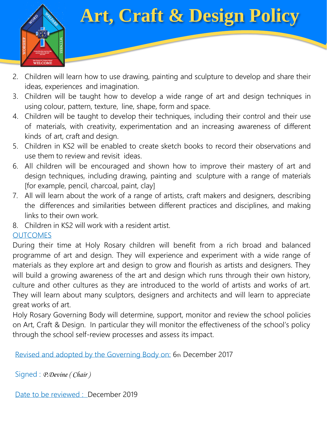

# **Art, Craft & Design Policy**

- 2. Children will learn how to use drawing, painting and sculpture to develop and share their ideas, experiences and imagination.
- 3. Children will be taught how to develop a wide range of art and design techniques in using colour, pattern, texture, line, shape, form and space.
- 4. Children will be taught to develop their techniques, including their control and their use of materials, with creativity, experimentation and an increasing awareness of different kinds of art, craft and design.
- 5. Children in KS2 will be enabled to create sketch books to record their observations and use them to review and revisit ideas.
- 6. All children will be encouraged and shown how to improve their mastery of art and design techniques, including drawing, painting and sculpture with a range of materials [for example, pencil, charcoal, paint, clay]
- 7. All will learn about the work of a range of artists, craft makers and designers, describing the differences and similarities between different practices and disciplines, and making links to their own work.
- 8. Children in KS2 will work with a resident artist.

## **OUTCOMES**

During their time at Holy Rosary children will benefit from a rich broad and balanced programme of art and design. They will experience and experiment with a wide range of materials as they explore art and design to grow and flourish as artists and designers. They will build a growing awareness of the art and design which runs through their own history, culture and other cultures as they are introduced to the world of artists and works of art. They will learn about many sculptors, designers and architects and will learn to appreciate great works of art.

Holy Rosary Governing Body will determine, support, monitor and review the school policies on Art, Craft & Design. In particular they will monitor the effectiveness of the school's policy through the school self-review processes and assess its impact.

Revised and adopted by the Governing Body on: 6th December 2017

```
Signed : P.Devine ( Chair )
```
Date to be reviewed : December 2019